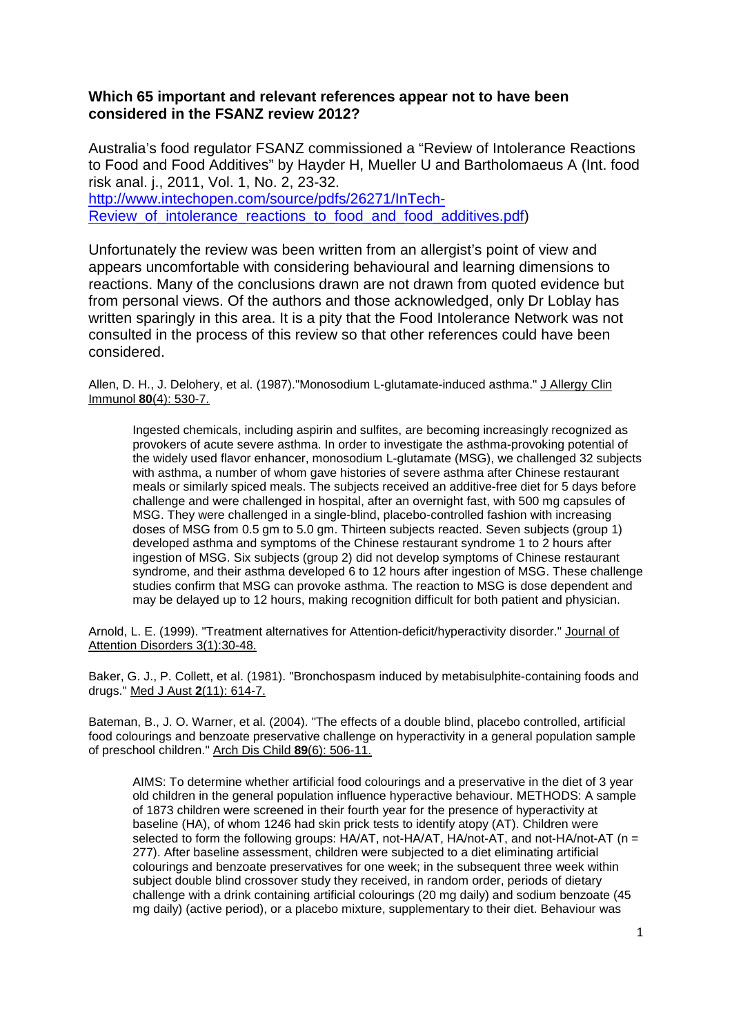## **Which 65 important and relevant references appear not to have been considered in the FSANZ review 2012?**

Australia's food regulator FSANZ commissioned a "Review of Intolerance Reactions to Food and Food Additives" by Hayder H, Mueller U and Bartholomaeus A (Int. food risk anal. j., 2011, Vol. 1, No. 2, 23-32.

[http://www.intechopen.com/source/pdfs/26271/InTech-](http://www.intechopen.com/source/pdfs/26271/InTech-Review_of_intolerance_reactions_to_food_and_food_additives.pdf)Review of intolerance reactions to food and food additives.pdf)

Unfortunately the review was been written from an allergist's point of view and appears uncomfortable with considering behavioural and learning dimensions to reactions. Many of the conclusions drawn are not drawn from quoted evidence but from personal views. Of the authors and those acknowledged, only Dr Loblay has written sparingly in this area. It is a pity that the Food Intolerance Network was not consulted in the process of this review so that other references could have been considered.

Allen, D. H., J. Delohery, et al. (1987)."Monosodium L-glutamate-induced asthma." J Allergy Clin Immunol **80**(4): 530-7.

Ingested chemicals, including aspirin and sulfites, are becoming increasingly recognized as provokers of acute severe asthma. In order to investigate the asthma-provoking potential of the widely used flavor enhancer, monosodium L-glutamate (MSG), we challenged 32 subjects with asthma, a number of whom gave histories of severe asthma after Chinese restaurant meals or similarly spiced meals. The subjects received an additive-free diet for 5 days before challenge and were challenged in hospital, after an overnight fast, with 500 mg capsules of MSG. They were challenged in a single-blind, placebo-controlled fashion with increasing doses of MSG from 0.5 gm to 5.0 gm. Thirteen subjects reacted. Seven subjects (group 1) developed asthma and symptoms of the Chinese restaurant syndrome 1 to 2 hours after ingestion of MSG. Six subjects (group 2) did not develop symptoms of Chinese restaurant syndrome, and their asthma developed 6 to 12 hours after ingestion of MSG. These challenge studies confirm that MSG can provoke asthma. The reaction to MSG is dose dependent and may be delayed up to 12 hours, making recognition difficult for both patient and physician.

Arnold, L. E. (1999). "Treatment alternatives for Attention-deficit/hyperactivity disorder." Journal of Attention Disorders 3(1):30-48.

Baker, G. J., P. Collett, et al. (1981). "Bronchospasm induced by metabisulphite-containing foods and drugs." Med J Aust **2**(11): 614-7.

Bateman, B., J. O. Warner, et al. (2004). "The effects of a double blind, placebo controlled, artificial food colourings and benzoate preservative challenge on hyperactivity in a general population sample of preschool children." Arch Dis Child **89**(6): 506-11.

AIMS: To determine whether artificial food colourings and a preservative in the diet of 3 year old children in the general population influence hyperactive behaviour. METHODS: A sample of 1873 children were screened in their fourth year for the presence of hyperactivity at baseline (HA), of whom 1246 had skin prick tests to identify atopy (AT). Children were selected to form the following groups:  $HA/AT$ , not-HA/AT,  $HA/not-AT$ , and not-HA/not-AT (n = 277). After baseline assessment, children were subjected to a diet eliminating artificial colourings and benzoate preservatives for one week; in the subsequent three week within subject double blind crossover study they received, in random order, periods of dietary challenge with a drink containing artificial colourings (20 mg daily) and sodium benzoate (45 mg daily) (active period), or a placebo mixture, supplementary to their diet. Behaviour was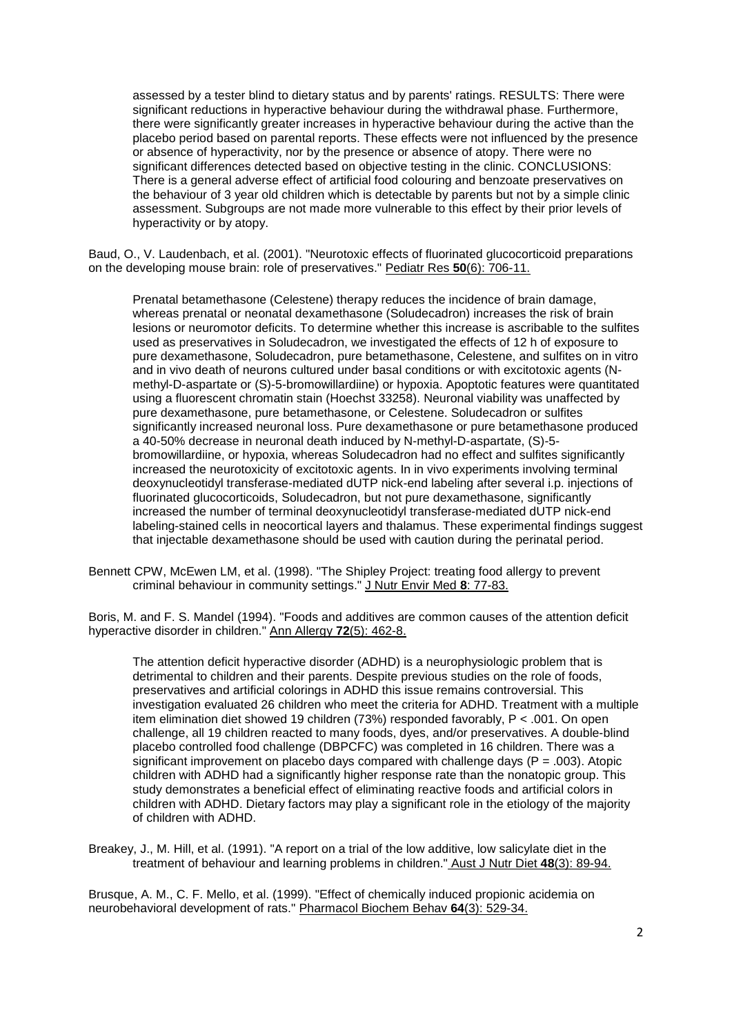assessed by a tester blind to dietary status and by parents' ratings. RESULTS: There were significant reductions in hyperactive behaviour during the withdrawal phase. Furthermore, there were significantly greater increases in hyperactive behaviour during the active than the placebo period based on parental reports. These effects were not influenced by the presence or absence of hyperactivity, nor by the presence or absence of atopy. There were no significant differences detected based on objective testing in the clinic. CONCLUSIONS: There is a general adverse effect of artificial food colouring and benzoate preservatives on the behaviour of 3 year old children which is detectable by parents but not by a simple clinic assessment. Subgroups are not made more vulnerable to this effect by their prior levels of hyperactivity or by atopy.

Baud, O., V. Laudenbach, et al. (2001). "Neurotoxic effects of fluorinated glucocorticoid preparations on the developing mouse brain: role of preservatives." Pediatr Res **50**(6): 706-11.

Prenatal betamethasone (Celestene) therapy reduces the incidence of brain damage, whereas prenatal or neonatal dexamethasone (Soludecadron) increases the risk of brain lesions or neuromotor deficits. To determine whether this increase is ascribable to the sulfites used as preservatives in Soludecadron, we investigated the effects of 12 h of exposure to pure dexamethasone, Soludecadron, pure betamethasone, Celestene, and sulfites on in vitro and in vivo death of neurons cultured under basal conditions or with excitotoxic agents (Nmethyl-D-aspartate or (S)-5-bromowillardiine) or hypoxia. Apoptotic features were quantitated using a fluorescent chromatin stain (Hoechst 33258). Neuronal viability was unaffected by pure dexamethasone, pure betamethasone, or Celestene. Soludecadron or sulfites significantly increased neuronal loss. Pure dexamethasone or pure betamethasone produced a 40-50% decrease in neuronal death induced by N-methyl-D-aspartate, (S)-5 bromowillardiine, or hypoxia, whereas Soludecadron had no effect and sulfites significantly increased the neurotoxicity of excitotoxic agents. In in vivo experiments involving terminal deoxynucleotidyl transferase-mediated dUTP nick-end labeling after several i.p. injections of fluorinated glucocorticoids, Soludecadron, but not pure dexamethasone, significantly increased the number of terminal deoxynucleotidyl transferase-mediated dUTP nick-end labeling-stained cells in neocortical layers and thalamus. These experimental findings suggest that injectable dexamethasone should be used with caution during the perinatal period.

Bennett CPW, McEwen LM, et al. (1998). "The Shipley Project: treating food allergy to prevent criminal behaviour in community settings." J Nutr Envir Med **8**: 77-83.

Boris, M. and F. S. Mandel (1994). "Foods and additives are common causes of the attention deficit hyperactive disorder in children." Ann Allergy **72**(5): 462-8.

The attention deficit hyperactive disorder (ADHD) is a neurophysiologic problem that is detrimental to children and their parents. Despite previous studies on the role of foods, preservatives and artificial colorings in ADHD this issue remains controversial. This investigation evaluated 26 children who meet the criteria for ADHD. Treatment with a multiple item elimination diet showed 19 children (73%) responded favorably, P < .001. On open challenge, all 19 children reacted to many foods, dyes, and/or preservatives. A double-blind placebo controlled food challenge (DBPCFC) was completed in 16 children. There was a significant improvement on placebo days compared with challenge days ( $P = .003$ ). Atopic children with ADHD had a significantly higher response rate than the nonatopic group. This study demonstrates a beneficial effect of eliminating reactive foods and artificial colors in children with ADHD. Dietary factors may play a significant role in the etiology of the majority of children with ADHD.

Breakey, J., M. Hill, et al. (1991). "A report on a trial of the low additive, low salicylate diet in the treatment of behaviour and learning problems in children." Aust J Nutr Diet **48**(3): 89-94.

Brusque, A. M., C. F. Mello, et al. (1999). "Effect of chemically induced propionic acidemia on neurobehavioral development of rats." Pharmacol Biochem Behav **64**(3): 529-34.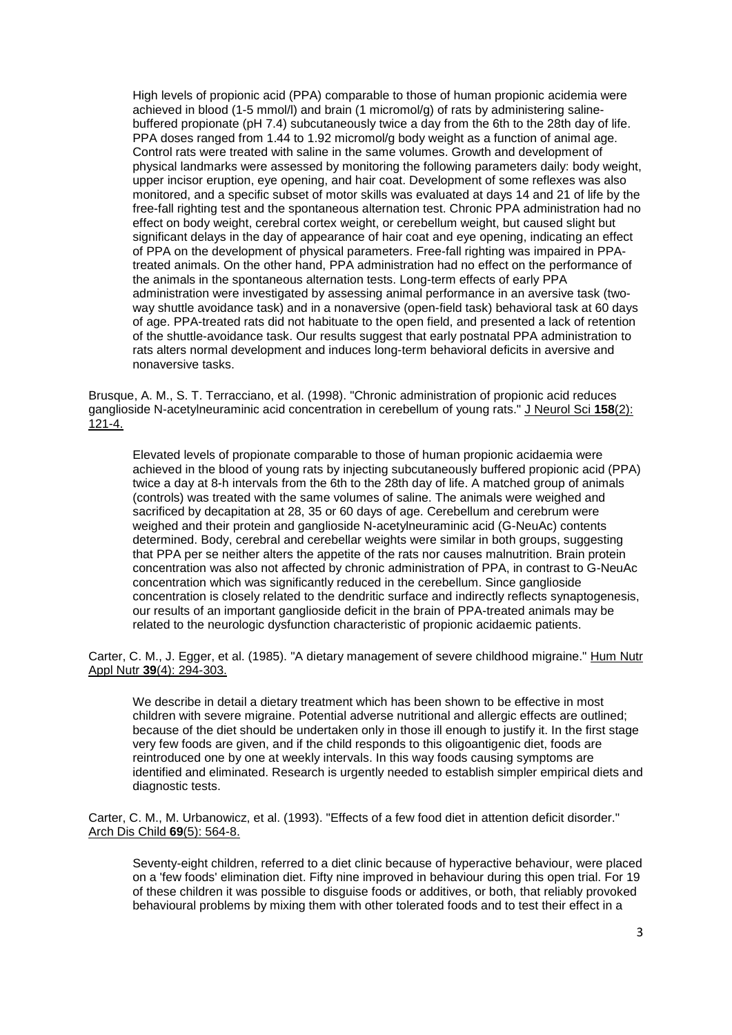High levels of propionic acid (PPA) comparable to those of human propionic acidemia were achieved in blood (1-5 mmol/l) and brain (1 micromol/g) of rats by administering salinebuffered propionate (pH 7.4) subcutaneously twice a day from the 6th to the 28th day of life. PPA doses ranged from 1.44 to 1.92 micromol/g body weight as a function of animal age. Control rats were treated with saline in the same volumes. Growth and development of physical landmarks were assessed by monitoring the following parameters daily: body weight, upper incisor eruption, eye opening, and hair coat. Development of some reflexes was also monitored, and a specific subset of motor skills was evaluated at days 14 and 21 of life by the free-fall righting test and the spontaneous alternation test. Chronic PPA administration had no effect on body weight, cerebral cortex weight, or cerebellum weight, but caused slight but significant delays in the day of appearance of hair coat and eye opening, indicating an effect of PPA on the development of physical parameters. Free-fall righting was impaired in PPAtreated animals. On the other hand, PPA administration had no effect on the performance of the animals in the spontaneous alternation tests. Long-term effects of early PPA administration were investigated by assessing animal performance in an aversive task (twoway shuttle avoidance task) and in a nonaversive (open-field task) behavioral task at 60 days of age. PPA-treated rats did not habituate to the open field, and presented a lack of retention of the shuttle-avoidance task. Our results suggest that early postnatal PPA administration to rats alters normal development and induces long-term behavioral deficits in aversive and nonaversive tasks.

Brusque, A. M., S. T. Terracciano, et al. (1998). "Chronic administration of propionic acid reduces ganglioside N-acetylneuraminic acid concentration in cerebellum of young rats." J Neurol Sci **158**(2): 121-4.

Elevated levels of propionate comparable to those of human propionic acidaemia were achieved in the blood of young rats by injecting subcutaneously buffered propionic acid (PPA) twice a day at 8-h intervals from the 6th to the 28th day of life. A matched group of animals (controls) was treated with the same volumes of saline. The animals were weighed and sacrificed by decapitation at 28, 35 or 60 days of age. Cerebellum and cerebrum were weighed and their protein and ganglioside N-acetylneuraminic acid (G-NeuAc) contents determined. Body, cerebral and cerebellar weights were similar in both groups, suggesting that PPA per se neither alters the appetite of the rats nor causes malnutrition. Brain protein concentration was also not affected by chronic administration of PPA, in contrast to G-NeuAc concentration which was significantly reduced in the cerebellum. Since ganglioside concentration is closely related to the dendritic surface and indirectly reflects synaptogenesis, our results of an important ganglioside deficit in the brain of PPA-treated animals may be related to the neurologic dysfunction characteristic of propionic acidaemic patients.

Carter, C. M., J. Egger, et al. (1985). "A dietary management of severe childhood migraine." Hum Nutr Appl Nutr **39**(4): 294-303.

We describe in detail a dietary treatment which has been shown to be effective in most children with severe migraine. Potential adverse nutritional and allergic effects are outlined; because of the diet should be undertaken only in those ill enough to justify it. In the first stage very few foods are given, and if the child responds to this oligoantigenic diet, foods are reintroduced one by one at weekly intervals. In this way foods causing symptoms are identified and eliminated. Research is urgently needed to establish simpler empirical diets and diagnostic tests.

Carter, C. M., M. Urbanowicz, et al. (1993). "Effects of a few food diet in attention deficit disorder." Arch Dis Child **69**(5): 564-8.

Seventy-eight children, referred to a diet clinic because of hyperactive behaviour, were placed on a 'few foods' elimination diet. Fifty nine improved in behaviour during this open trial. For 19 of these children it was possible to disguise foods or additives, or both, that reliably provoked behavioural problems by mixing them with other tolerated foods and to test their effect in a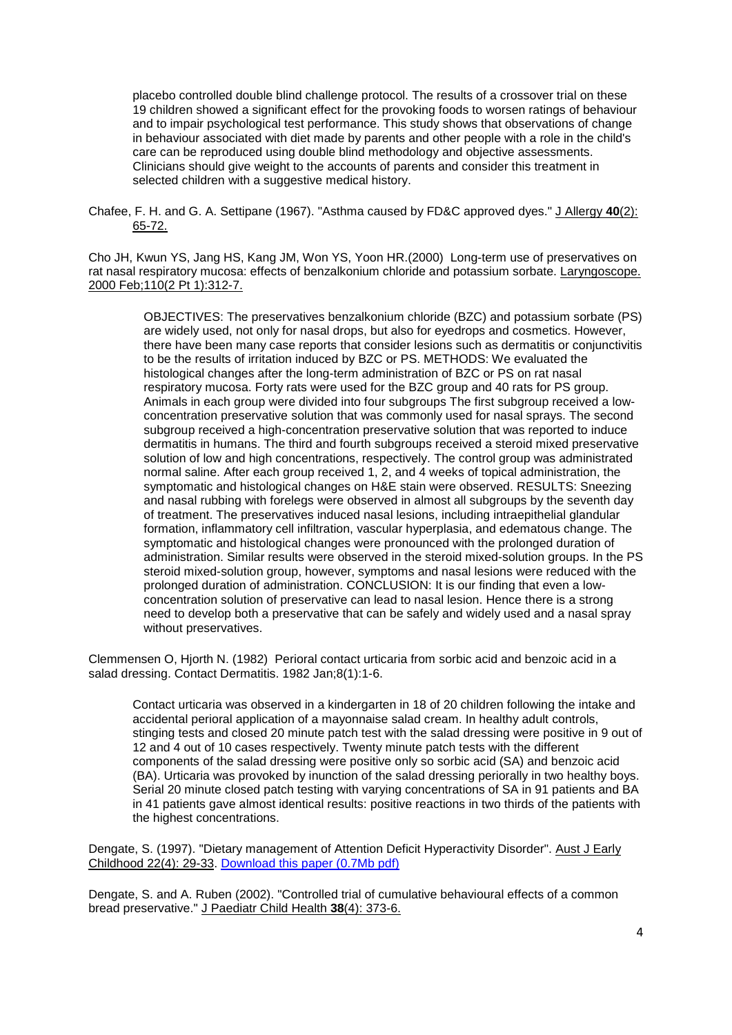placebo controlled double blind challenge protocol. The results of a crossover trial on these 19 children showed a significant effect for the provoking foods to worsen ratings of behaviour and to impair psychological test performance. This study shows that observations of change in behaviour associated with diet made by parents and other people with a role in the child's care can be reproduced using double blind methodology and objective assessments. Clinicians should give weight to the accounts of parents and consider this treatment in selected children with a suggestive medical history.

Chafee, F. H. and G. A. Settipane (1967). "Asthma caused by FD&C approved dyes." J Allergy **40**(2): 65-72.

Cho JH, Kwun YS, Jang HS, Kang JM, Won YS, Yoon HR.(2000) Long-term use of preservatives on rat nasal respiratory mucosa: effects of benzalkonium chloride and potassium sorbate. Laryngoscope. 2000 Feb;110(2 Pt 1):312-7.

OBJECTIVES: The preservatives benzalkonium chloride (BZC) and potassium sorbate (PS) are widely used, not only for nasal drops, but also for eyedrops and cosmetics. However, there have been many case reports that consider lesions such as dermatitis or conjunctivitis to be the results of irritation induced by BZC or PS. METHODS: We evaluated the histological changes after the long-term administration of BZC or PS on rat nasal respiratory mucosa. Forty rats were used for the BZC group and 40 rats for PS group. Animals in each group were divided into four subgroups The first subgroup received a lowconcentration preservative solution that was commonly used for nasal sprays. The second subgroup received a high-concentration preservative solution that was reported to induce dermatitis in humans. The third and fourth subgroups received a steroid mixed preservative solution of low and high concentrations, respectively. The control group was administrated normal saline. After each group received 1, 2, and 4 weeks of topical administration, the symptomatic and histological changes on H&E stain were observed. RESULTS: Sneezing and nasal rubbing with forelegs were observed in almost all subgroups by the seventh day of treatment. The preservatives induced nasal lesions, including intraepithelial glandular formation, inflammatory cell infiltration, vascular hyperplasia, and edematous change. The symptomatic and histological changes were pronounced with the prolonged duration of administration. Similar results were observed in the steroid mixed-solution groups. In the PS steroid mixed-solution group, however, symptoms and nasal lesions were reduced with the prolonged duration of administration. CONCLUSION: It is our finding that even a lowconcentration solution of preservative can lead to nasal lesion. Hence there is a strong need to develop both a preservative that can be safely and widely used and a nasal spray without preservatives.

Clemmensen O, Hjorth N. (1982) Perioral contact urticaria from sorbic acid and benzoic acid in a salad dressing. Contact Dermatitis. 1982 Jan;8(1):1-6.

Contact urticaria was observed in a kindergarten in 18 of 20 children following the intake and accidental perioral application of a mayonnaise salad cream. In healthy adult controls, stinging tests and closed 20 minute patch test with the salad dressing were positive in 9 out of 12 and 4 out of 10 cases respectively. Twenty minute patch tests with the different components of the salad dressing were positive only so sorbic acid (SA) and benzoic acid (BA). Urticaria was provoked by inunction of the salad dressing periorally in two healthy boys. Serial 20 minute closed patch testing with varying concentrations of SA in 91 patients and BA in 41 patients gave almost identical results: positive reactions in two thirds of the patients with the highest concentrations.

Dengate, S. (1997). "Dietary management of Attention Deficit Hyperactivity Disorder". Aust J Early Childhood 22(4): 29-33. [Download this paper \(0.7Mb pdf\)](http://fedup.com.au/images/stories/AJEC1997a.pdf)

Dengate, S. and A. Ruben (2002). "Controlled trial of cumulative behavioural effects of a common bread preservative." J Paediatr Child Health **38**(4): 373-6.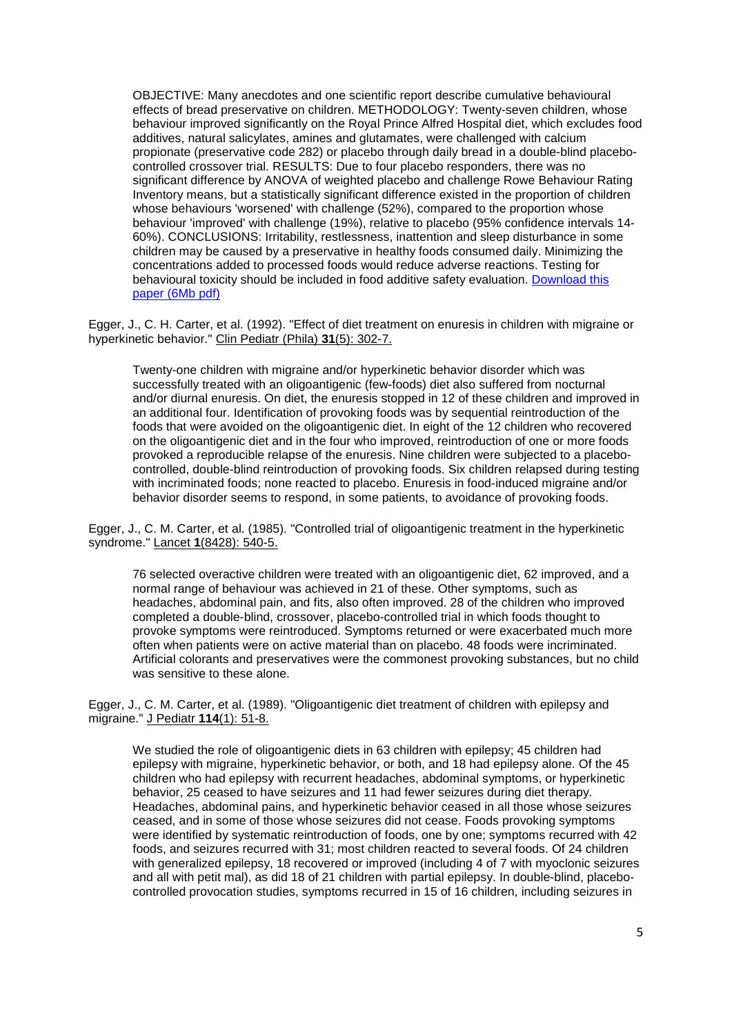OBJECTIVE: Many anecdotes and one scientific report describe cumulative behavioural effects of bread preservative on children. METHODOLOGY: Twenty-seven children, whose behaviour improved significantly on the Royal Prince Alfred Hospital diet, which excludes food additives, natural salicylates, amines and glutamates, were challenged with calcium propionate (preservative code 282) or placebo through daily bread in a double-blind placebocontrolled crossover trial. RESULTS: Due to four placebo responders, there was no significant difference by ANOVA of weighted placebo and challenge Rowe Behaviour Rating Inventory means, but a statistically significant difference existed in the proportion of children whose behaviours 'worsened' with challenge (52%), compared to the proportion whose behaviour 'improved' with challenge (19%), relative to placebo (95% confidence intervals 14- 60%). CONCLUSIONS: Irritability, restlessness, inattention and sleep disturbance in some children may be caused by a preservative in healthy foods consumed daily. Minimizing the concentrations added to processed foods would reduce adverse reactions. Testing for behavioural toxicity should be included in food additive safety evaluation. [Download this](http://fedup.com.au/images/stories/DengateRuben03.pdf)  [paper \(6Mb pdf\)](http://fedup.com.au/images/stories/DengateRuben03.pdf)

Egger, J., C. H. Carter, et al. (1992). "Effect of diet treatment on enuresis in children with migraine or hyperkinetic behavior." Clin Pediatr (Phila) **31**(5): 302-7.

Twenty-one children with migraine and/or hyperkinetic behavior disorder which was successfully treated with an oligoantigenic (few-foods) diet also suffered from nocturnal and/or diurnal enuresis. On diet, the enuresis stopped in 12 of these children and improved in an additional four. Identification of provoking foods was by sequential reintroduction of the foods that were avoided on the oligoantigenic diet. In eight of the 12 children who recovered on the oligoantigenic diet and in the four who improved, reintroduction of one or more foods provoked a reproducible relapse of the enuresis. Nine children were subjected to a placebocontrolled, double-blind reintroduction of provoking foods. Six children relapsed during testing with incriminated foods; none reacted to placebo. Enuresis in food-induced migraine and/or behavior disorder seems to respond, in some patients, to avoidance of provoking foods.

Egger, J., C. M. Carter, et al. (1985). "Controlled trial of oligoantigenic treatment in the hyperkinetic syndrome." Lancet **1**(8428): 540-5.

76 selected overactive children were treated with an oligoantigenic diet, 62 improved, and a normal range of behaviour was achieved in 21 of these. Other symptoms, such as headaches, abdominal pain, and fits, also often improved. 28 of the children who improved completed a double-blind, crossover, placebo-controlled trial in which foods thought to provoke symptoms were reintroduced. Symptoms returned or were exacerbated much more often when patients were on active material than on placebo. 48 foods were incriminated. Artificial colorants and preservatives were the commonest provoking substances, but no child was sensitive to these alone.

Egger, J., C. M. Carter, et al. (1989). "Oligoantigenic diet treatment of children with epilepsy and migraine." J Pediatr **114**(1): 51-8.

We studied the role of oligoantigenic diets in 63 children with epilepsy; 45 children had epilepsy with migraine, hyperkinetic behavior, or both, and 18 had epilepsy alone. Of the 45 children who had epilepsy with recurrent headaches, abdominal symptoms, or hyperkinetic behavior, 25 ceased to have seizures and 11 had fewer seizures during diet therapy. Headaches, abdominal pains, and hyperkinetic behavior ceased in all those whose seizures ceased, and in some of those whose seizures did not cease. Foods provoking symptoms were identified by systematic reintroduction of foods, one by one; symptoms recurred with 42 foods, and seizures recurred with 31; most children reacted to several foods. Of 24 children with generalized epilepsy, 18 recovered or improved (including 4 of 7 with myoclonic seizures and all with petit mal), as did 18 of 21 children with partial epilepsy. In double-blind, placebocontrolled provocation studies, symptoms recurred in 15 of 16 children, including seizures in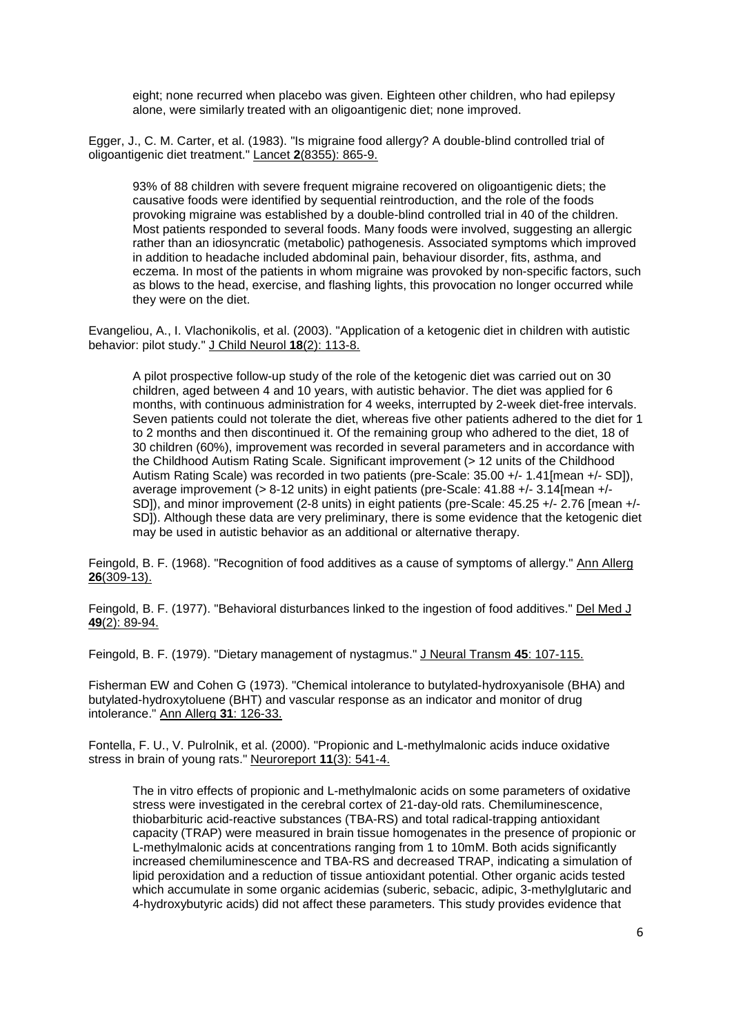eight; none recurred when placebo was given. Eighteen other children, who had epilepsy alone, were similarly treated with an oligoantigenic diet; none improved.

Egger, J., C. M. Carter, et al. (1983). "Is migraine food allergy? A double-blind controlled trial of oligoantigenic diet treatment." Lancet **2**(8355): 865-9.

93% of 88 children with severe frequent migraine recovered on oligoantigenic diets; the causative foods were identified by sequential reintroduction, and the role of the foods provoking migraine was established by a double-blind controlled trial in 40 of the children. Most patients responded to several foods. Many foods were involved, suggesting an allergic rather than an idiosyncratic (metabolic) pathogenesis. Associated symptoms which improved in addition to headache included abdominal pain, behaviour disorder, fits, asthma, and eczema. In most of the patients in whom migraine was provoked by non-specific factors, such as blows to the head, exercise, and flashing lights, this provocation no longer occurred while they were on the diet.

Evangeliou, A., I. Vlachonikolis, et al. (2003). "Application of a ketogenic diet in children with autistic behavior: pilot study." J Child Neurol **18**(2): 113-8.

A pilot prospective follow-up study of the role of the ketogenic diet was carried out on 30 children, aged between 4 and 10 years, with autistic behavior. The diet was applied for 6 months, with continuous administration for 4 weeks, interrupted by 2-week diet-free intervals. Seven patients could not tolerate the diet, whereas five other patients adhered to the diet for 1 to 2 months and then discontinued it. Of the remaining group who adhered to the diet, 18 of 30 children (60%), improvement was recorded in several parameters and in accordance with the Childhood Autism Rating Scale. Significant improvement (> 12 units of the Childhood Autism Rating Scale) was recorded in two patients (pre-Scale: 35.00 +/- 1.41[mean +/- SD]), average improvement (> 8-12 units) in eight patients (pre-Scale: 41.88 +/- 3.14[mean +/- SD]), and minor improvement (2-8 units) in eight patients (pre-Scale: 45.25 +/- 2.76 [mean +/- SD]). Although these data are very preliminary, there is some evidence that the ketogenic diet may be used in autistic behavior as an additional or alternative therapy.

Feingold, B. F. (1968). "Recognition of food additives as a cause of symptoms of allergy." Ann Allerg **26**(309-13).

Feingold, B. F. (1977). "Behavioral disturbances linked to the ingestion of food additives." Del Med J **49**(2): 89-94.

Feingold, B. F. (1979). "Dietary management of nystagmus." J Neural Transm **45**: 107-115.

Fisherman EW and Cohen G (1973). "Chemical intolerance to butylated-hydroxyanisole (BHA) and butylated-hydroxytoluene (BHT) and vascular response as an indicator and monitor of drug intolerance." Ann Allerg **31**: 126-33.

Fontella, F. U., V. Pulrolnik, et al. (2000). "Propionic and L-methylmalonic acids induce oxidative stress in brain of young rats." Neuroreport **11**(3): 541-4.

The in vitro effects of propionic and L-methylmalonic acids on some parameters of oxidative stress were investigated in the cerebral cortex of 21-day-old rats. Chemiluminescence, thiobarbituric acid-reactive substances (TBA-RS) and total radical-trapping antioxidant capacity (TRAP) were measured in brain tissue homogenates in the presence of propionic or L-methylmalonic acids at concentrations ranging from 1 to 10mM. Both acids significantly increased chemiluminescence and TBA-RS and decreased TRAP, indicating a simulation of lipid peroxidation and a reduction of tissue antioxidant potential. Other organic acids tested which accumulate in some organic acidemias (suberic, sebacic, adipic, 3-methylglutaric and 4-hydroxybutyric acids) did not affect these parameters. This study provides evidence that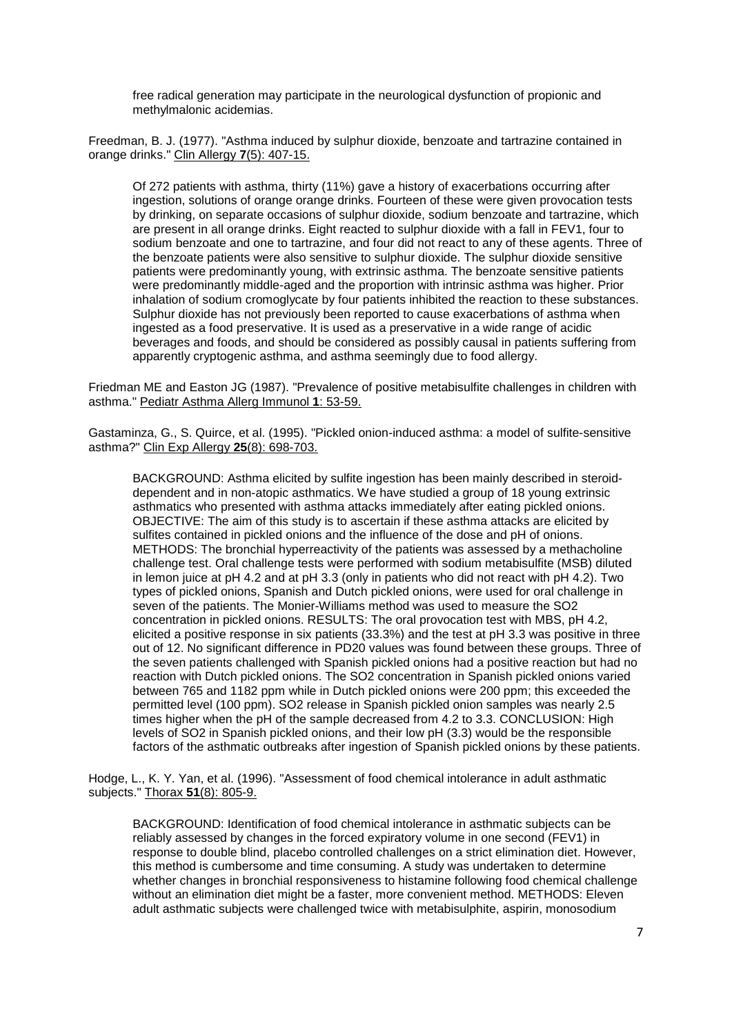free radical generation may participate in the neurological dysfunction of propionic and methylmalonic acidemias.

Freedman, B. J. (1977). "Asthma induced by sulphur dioxide, benzoate and tartrazine contained in orange drinks." Clin Allergy **7**(5): 407-15.

Of 272 patients with asthma, thirty (11%) gave a history of exacerbations occurring after ingestion, solutions of orange orange drinks. Fourteen of these were given provocation tests by drinking, on separate occasions of sulphur dioxide, sodium benzoate and tartrazine, which are present in all orange drinks. Eight reacted to sulphur dioxide with a fall in FEV1, four to sodium benzoate and one to tartrazine, and four did not react to any of these agents. Three of the benzoate patients were also sensitive to sulphur dioxide. The sulphur dioxide sensitive patients were predominantly young, with extrinsic asthma. The benzoate sensitive patients were predominantly middle-aged and the proportion with intrinsic asthma was higher. Prior inhalation of sodium cromoglycate by four patients inhibited the reaction to these substances. Sulphur dioxide has not previously been reported to cause exacerbations of asthma when ingested as a food preservative. It is used as a preservative in a wide range of acidic beverages and foods, and should be considered as possibly causal in patients suffering from apparently cryptogenic asthma, and asthma seemingly due to food allergy.

Friedman ME and Easton JG (1987). "Prevalence of positive metabisulfite challenges in children with asthma." Pediatr Asthma Allerg Immunol **1**: 53-59.

Gastaminza, G., S. Quirce, et al. (1995). "Pickled onion-induced asthma: a model of sulfite-sensitive asthma?" Clin Exp Allergy **25**(8): 698-703.

BACKGROUND: Asthma elicited by sulfite ingestion has been mainly described in steroiddependent and in non-atopic asthmatics. We have studied a group of 18 young extrinsic asthmatics who presented with asthma attacks immediately after eating pickled onions. OBJECTIVE: The aim of this study is to ascertain if these asthma attacks are elicited by sulfites contained in pickled onions and the influence of the dose and pH of onions. METHODS: The bronchial hyperreactivity of the patients was assessed by a methacholine challenge test. Oral challenge tests were performed with sodium metabisulfite (MSB) diluted in lemon juice at pH 4.2 and at pH 3.3 (only in patients who did not react with pH 4.2). Two types of pickled onions, Spanish and Dutch pickled onions, were used for oral challenge in seven of the patients. The Monier-Williams method was used to measure the SO2 concentration in pickled onions. RESULTS: The oral provocation test with MBS, pH 4.2, elicited a positive response in six patients (33.3%) and the test at pH 3.3 was positive in three out of 12. No significant difference in PD20 values was found between these groups. Three of the seven patients challenged with Spanish pickled onions had a positive reaction but had no reaction with Dutch pickled onions. The SO2 concentration in Spanish pickled onions varied between 765 and 1182 ppm while in Dutch pickled onions were 200 ppm; this exceeded the permitted level (100 ppm). SO2 release in Spanish pickled onion samples was nearly 2.5 times higher when the pH of the sample decreased from 4.2 to 3.3. CONCLUSION: High levels of SO2 in Spanish pickled onions, and their low pH (3.3) would be the responsible factors of the asthmatic outbreaks after ingestion of Spanish pickled onions by these patients.

Hodge, L., K. Y. Yan, et al. (1996). "Assessment of food chemical intolerance in adult asthmatic subjects." Thorax **51**(8): 805-9.

BACKGROUND: Identification of food chemical intolerance in asthmatic subjects can be reliably assessed by changes in the forced expiratory volume in one second (FEV1) in response to double blind, placebo controlled challenges on a strict elimination diet. However, this method is cumbersome and time consuming. A study was undertaken to determine whether changes in bronchial responsiveness to histamine following food chemical challenge without an elimination diet might be a faster, more convenient method. METHODS: Eleven adult asthmatic subjects were challenged twice with metabisulphite, aspirin, monosodium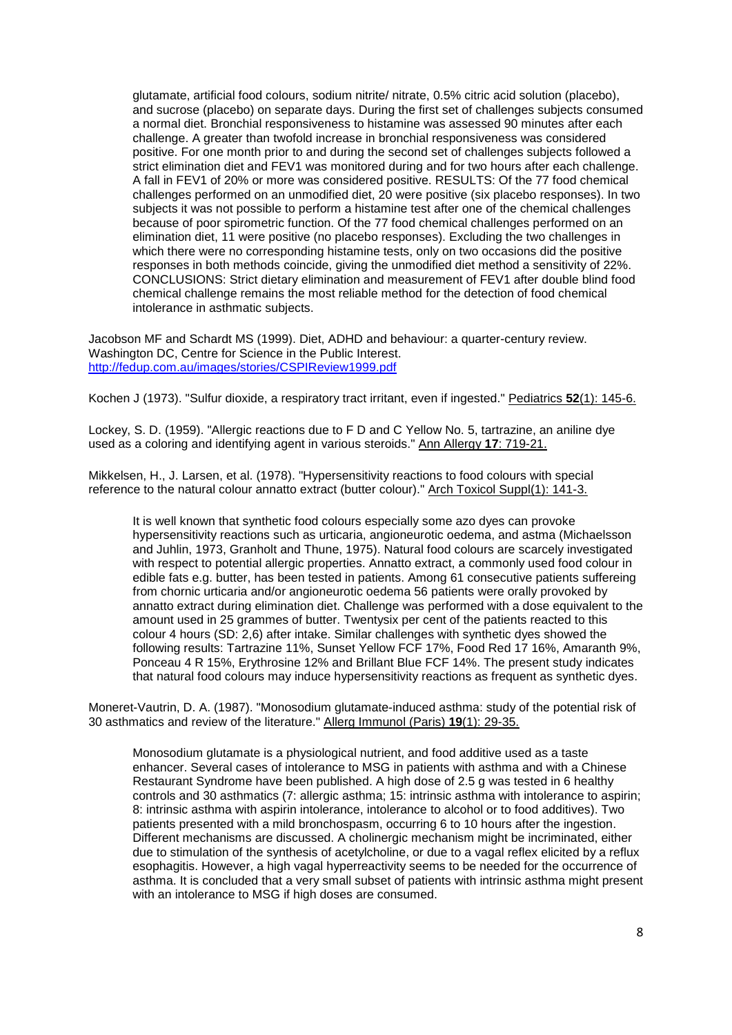glutamate, artificial food colours, sodium nitrite/ nitrate, 0.5% citric acid solution (placebo), and sucrose (placebo) on separate days. During the first set of challenges subjects consumed a normal diet. Bronchial responsiveness to histamine was assessed 90 minutes after each challenge. A greater than twofold increase in bronchial responsiveness was considered positive. For one month prior to and during the second set of challenges subjects followed a strict elimination diet and FEV1 was monitored during and for two hours after each challenge. A fall in FEV1 of 20% or more was considered positive. RESULTS: Of the 77 food chemical challenges performed on an unmodified diet, 20 were positive (six placebo responses). In two subjects it was not possible to perform a histamine test after one of the chemical challenges because of poor spirometric function. Of the 77 food chemical challenges performed on an elimination diet, 11 were positive (no placebo responses). Excluding the two challenges in which there were no corresponding histamine tests, only on two occasions did the positive responses in both methods coincide, giving the unmodified diet method a sensitivity of 22%. CONCLUSIONS: Strict dietary elimination and measurement of FEV1 after double blind food chemical challenge remains the most reliable method for the detection of food chemical intolerance in asthmatic subjects.

Jacobson MF and Schardt MS (1999). Diet, ADHD and behaviour: a quarter-century review. Washington DC, Centre for Science in the Public Interest. <http://fedup.com.au/images/stories/CSPIReview1999.pdf>

Kochen J (1973). "Sulfur dioxide, a respiratory tract irritant, even if ingested." Pediatrics **52**(1): 145-6.

Lockey, S. D. (1959). "Allergic reactions due to F D and C Yellow No. 5, tartrazine, an aniline dye used as a coloring and identifying agent in various steroids." Ann Allergy **17**: 719-21.

Mikkelsen, H., J. Larsen, et al. (1978). "Hypersensitivity reactions to food colours with special reference to the natural colour annatto extract (butter colour)." Arch Toxicol Suppl(1): 141-3.

It is well known that synthetic food colours especially some azo dyes can provoke hypersensitivity reactions such as urticaria, angioneurotic oedema, and astma (Michaelsson and Juhlin, 1973, Granholt and Thune, 1975). Natural food colours are scarcely investigated with respect to potential allergic properties. Annatto extract, a commonly used food colour in edible fats e.g. butter, has been tested in patients. Among 61 consecutive patients suffereing from chornic urticaria and/or angioneurotic oedema 56 patients were orally provoked by annatto extract during elimination diet. Challenge was performed with a dose equivalent to the amount used in 25 grammes of butter. Twentysix per cent of the patients reacted to this colour 4 hours (SD: 2,6) after intake. Similar challenges with synthetic dyes showed the following results: Tartrazine 11%, Sunset Yellow FCF 17%, Food Red 17 16%, Amaranth 9%, Ponceau 4 R 15%, Erythrosine 12% and Brillant Blue FCF 14%. The present study indicates that natural food colours may induce hypersensitivity reactions as frequent as synthetic dyes.

Moneret-Vautrin, D. A. (1987). "Monosodium glutamate-induced asthma: study of the potential risk of 30 asthmatics and review of the literature." Allerg Immunol (Paris) **19**(1): 29-35.

Monosodium glutamate is a physiological nutrient, and food additive used as a taste enhancer. Several cases of intolerance to MSG in patients with asthma and with a Chinese Restaurant Syndrome have been published. A high dose of 2.5 g was tested in 6 healthy controls and 30 asthmatics (7: allergic asthma; 15: intrinsic asthma with intolerance to aspirin; 8: intrinsic asthma with aspirin intolerance, intolerance to alcohol or to food additives). Two patients presented with a mild bronchospasm, occurring 6 to 10 hours after the ingestion. Different mechanisms are discussed. A cholinergic mechanism might be incriminated, either due to stimulation of the synthesis of acetylcholine, or due to a vagal reflex elicited by a reflux esophagitis. However, a high vagal hyperreactivity seems to be needed for the occurrence of asthma. It is concluded that a very small subset of patients with intrinsic asthma might present with an intolerance to MSG if high doses are consumed.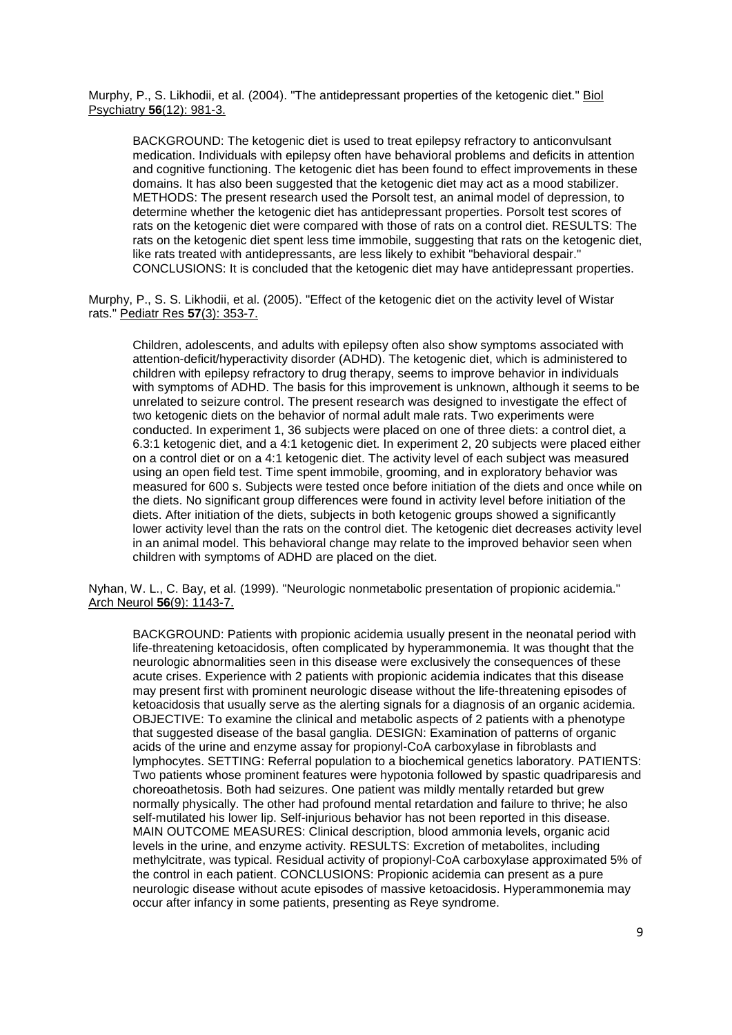Murphy, P., S. Likhodii, et al. (2004). "The antidepressant properties of the ketogenic diet." Biol Psychiatry **56**(12): 981-3.

BACKGROUND: The ketogenic diet is used to treat epilepsy refractory to anticonvulsant medication. Individuals with epilepsy often have behavioral problems and deficits in attention and cognitive functioning. The ketogenic diet has been found to effect improvements in these domains. It has also been suggested that the ketogenic diet may act as a mood stabilizer. METHODS: The present research used the Porsolt test, an animal model of depression, to determine whether the ketogenic diet has antidepressant properties. Porsolt test scores of rats on the ketogenic diet were compared with those of rats on a control diet. RESULTS: The rats on the ketogenic diet spent less time immobile, suggesting that rats on the ketogenic diet, like rats treated with antidepressants, are less likely to exhibit "behavioral despair." CONCLUSIONS: It is concluded that the ketogenic diet may have antidepressant properties.

Murphy, P., S. S. Likhodii, et al. (2005). "Effect of the ketogenic diet on the activity level of Wistar rats." Pediatr Res **57**(3): 353-7.

Children, adolescents, and adults with epilepsy often also show symptoms associated with attention-deficit/hyperactivity disorder (ADHD). The ketogenic diet, which is administered to children with epilepsy refractory to drug therapy, seems to improve behavior in individuals with symptoms of ADHD. The basis for this improvement is unknown, although it seems to be unrelated to seizure control. The present research was designed to investigate the effect of two ketogenic diets on the behavior of normal adult male rats. Two experiments were conducted. In experiment 1, 36 subjects were placed on one of three diets: a control diet, a 6.3:1 ketogenic diet, and a 4:1 ketogenic diet. In experiment 2, 20 subjects were placed either on a control diet or on a 4:1 ketogenic diet. The activity level of each subject was measured using an open field test. Time spent immobile, grooming, and in exploratory behavior was measured for 600 s. Subjects were tested once before initiation of the diets and once while on the diets. No significant group differences were found in activity level before initiation of the diets. After initiation of the diets, subjects in both ketogenic groups showed a significantly lower activity level than the rats on the control diet. The ketogenic diet decreases activity level in an animal model. This behavioral change may relate to the improved behavior seen when children with symptoms of ADHD are placed on the diet.

Nyhan, W. L., C. Bay, et al. (1999). "Neurologic nonmetabolic presentation of propionic acidemia." Arch Neurol **56**(9): 1143-7.

BACKGROUND: Patients with propionic acidemia usually present in the neonatal period with life-threatening ketoacidosis, often complicated by hyperammonemia. It was thought that the neurologic abnormalities seen in this disease were exclusively the consequences of these acute crises. Experience with 2 patients with propionic acidemia indicates that this disease may present first with prominent neurologic disease without the life-threatening episodes of ketoacidosis that usually serve as the alerting signals for a diagnosis of an organic acidemia. OBJECTIVE: To examine the clinical and metabolic aspects of 2 patients with a phenotype that suggested disease of the basal ganglia. DESIGN: Examination of patterns of organic acids of the urine and enzyme assay for propionyl-CoA carboxylase in fibroblasts and lymphocytes. SETTING: Referral population to a biochemical genetics laboratory. PATIENTS: Two patients whose prominent features were hypotonia followed by spastic quadriparesis and choreoathetosis. Both had seizures. One patient was mildly mentally retarded but grew normally physically. The other had profound mental retardation and failure to thrive; he also self-mutilated his lower lip. Self-injurious behavior has not been reported in this disease. MAIN OUTCOME MEASURES: Clinical description, blood ammonia levels, organic acid levels in the urine, and enzyme activity. RESULTS: Excretion of metabolites, including methylcitrate, was typical. Residual activity of propionyl-CoA carboxylase approximated 5% of the control in each patient. CONCLUSIONS: Propionic acidemia can present as a pure neurologic disease without acute episodes of massive ketoacidosis. Hyperammonemia may occur after infancy in some patients, presenting as Reye syndrome.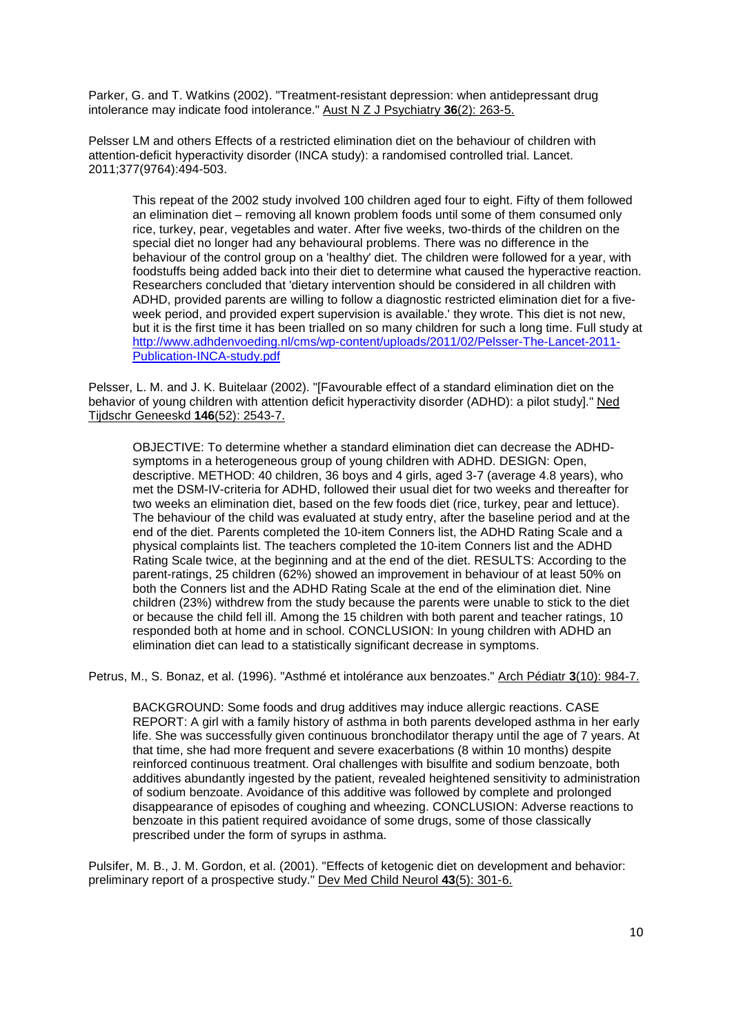Parker, G. and T. Watkins (2002). "Treatment-resistant depression: when antidepressant drug intolerance may indicate food intolerance." Aust N Z J Psychiatry **36**(2): 263-5.

Pelsser LM and others Effects of a restricted elimination diet on the behaviour of children with attention-deficit hyperactivity disorder (INCA study): a randomised controlled trial. Lancet. 2011;377(9764):494-503.

This repeat of the 2002 study involved 100 children aged four to eight. Fifty of them followed an elimination diet – removing all known problem foods until some of them consumed only rice, turkey, pear, vegetables and water. After five weeks, two-thirds of the children on the special diet no longer had any behavioural problems. There was no difference in the behaviour of the control group on a 'healthy' diet. The children were followed for a year, with foodstuffs being added back into their diet to determine what caused the hyperactive reaction. Researchers concluded that 'dietary intervention should be considered in all children with ADHD, provided parents are willing to follow a diagnostic restricted elimination diet for a fiveweek period, and provided expert supervision is available.' they wrote. This diet is not new, but it is the first time it has been trialled on so many children for such a long time. Full study at [http://www.adhdenvoeding.nl/cms/wp-content/uploads/2011/02/Pelsser-The-Lancet-2011-](http://www.adhdenvoeding.nl/cms/wp-content/uploads/2011/02/Pelsser-The-Lancet-2011-Publication-INCA-study.pdf) [Publication-INCA-study.pdf](http://www.adhdenvoeding.nl/cms/wp-content/uploads/2011/02/Pelsser-The-Lancet-2011-Publication-INCA-study.pdf)

Pelsser, L. M. and J. K. Buitelaar (2002). "[Favourable effect of a standard elimination diet on the behavior of young children with attention deficit hyperactivity disorder (ADHD): a pilot study]." Ned Tijdschr Geneeskd **146**(52): 2543-7.

OBJECTIVE: To determine whether a standard elimination diet can decrease the ADHDsymptoms in a heterogeneous group of young children with ADHD. DESIGN: Open, descriptive. METHOD: 40 children, 36 boys and 4 girls, aged 3-7 (average 4.8 years), who met the DSM-IV-criteria for ADHD, followed their usual diet for two weeks and thereafter for two weeks an elimination diet, based on the few foods diet (rice, turkey, pear and lettuce). The behaviour of the child was evaluated at study entry, after the baseline period and at the end of the diet. Parents completed the 10-item Conners list, the ADHD Rating Scale and a physical complaints list. The teachers completed the 10-item Conners list and the ADHD Rating Scale twice, at the beginning and at the end of the diet. RESULTS: According to the parent-ratings, 25 children (62%) showed an improvement in behaviour of at least 50% on both the Conners list and the ADHD Rating Scale at the end of the elimination diet. Nine children (23%) withdrew from the study because the parents were unable to stick to the diet or because the child fell ill. Among the 15 children with both parent and teacher ratings, 10 responded both at home and in school. CONCLUSION: In young children with ADHD an elimination diet can lead to a statistically significant decrease in symptoms.

Petrus, M., S. Bonaz, et al. (1996). "Asthmé et intolérance aux benzoates." Arch Pédiatr **3**(10): 984-7.

BACKGROUND: Some foods and drug additives may induce allergic reactions. CASE REPORT: A girl with a family history of asthma in both parents developed asthma in her early life. She was successfully given continuous bronchodilator therapy until the age of 7 years. At that time, she had more frequent and severe exacerbations (8 within 10 months) despite reinforced continuous treatment. Oral challenges with bisulfite and sodium benzoate, both additives abundantly ingested by the patient, revealed heightened sensitivity to administration of sodium benzoate. Avoidance of this additive was followed by complete and prolonged disappearance of episodes of coughing and wheezing. CONCLUSION: Adverse reactions to benzoate in this patient required avoidance of some drugs, some of those classically prescribed under the form of syrups in asthma.

Pulsifer, M. B., J. M. Gordon, et al. (2001). "Effects of ketogenic diet on development and behavior: preliminary report of a prospective study." Dev Med Child Neurol **43**(5): 301-6.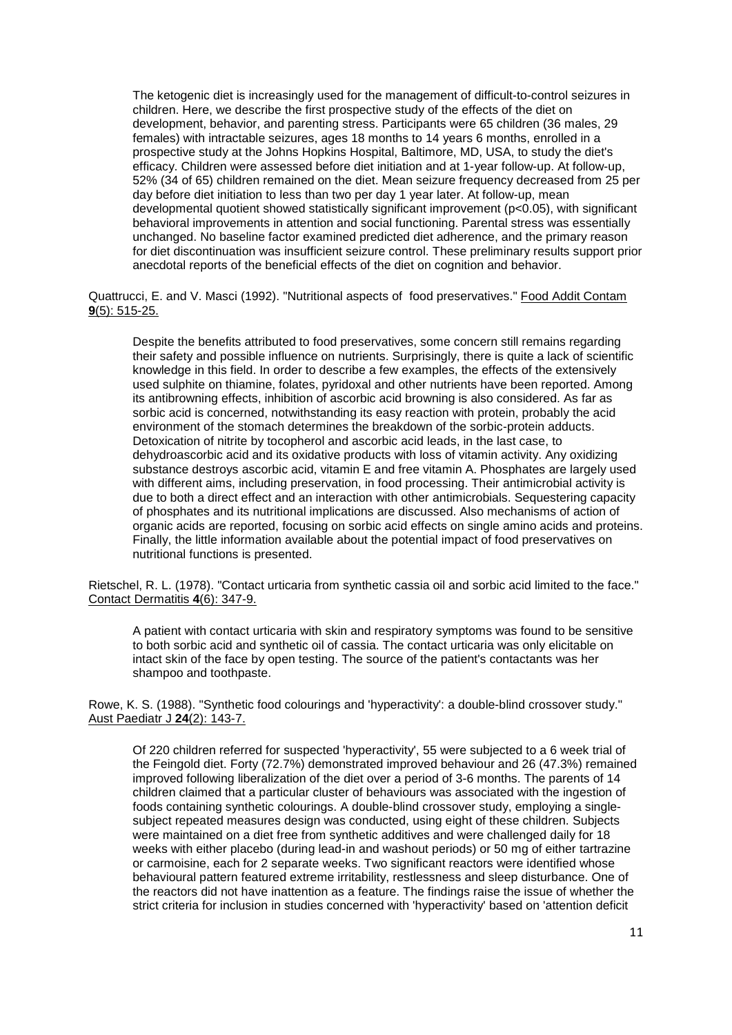The ketogenic diet is increasingly used for the management of difficult-to-control seizures in children. Here, we describe the first prospective study of the effects of the diet on development, behavior, and parenting stress. Participants were 65 children (36 males, 29 females) with intractable seizures, ages 18 months to 14 years 6 months, enrolled in a prospective study at the Johns Hopkins Hospital, Baltimore, MD, USA, to study the diet's efficacy. Children were assessed before diet initiation and at 1-year follow-up. At follow-up, 52% (34 of 65) children remained on the diet. Mean seizure frequency decreased from 25 per day before diet initiation to less than two per day 1 year later. At follow-up, mean developmental quotient showed statistically significant improvement (p<0.05), with significant behavioral improvements in attention and social functioning. Parental stress was essentially unchanged. No baseline factor examined predicted diet adherence, and the primary reason for diet discontinuation was insufficient seizure control. These preliminary results support prior anecdotal reports of the beneficial effects of the diet on cognition and behavior.

Quattrucci, E. and V. Masci (1992). "Nutritional aspects of food preservatives." Food Addit Contam **9**(5): 515-25.

Despite the benefits attributed to food preservatives, some concern still remains regarding their safety and possible influence on nutrients. Surprisingly, there is quite a lack of scientific knowledge in this field. In order to describe a few examples, the effects of the extensively used sulphite on thiamine, folates, pyridoxal and other nutrients have been reported. Among its antibrowning effects, inhibition of ascorbic acid browning is also considered. As far as sorbic acid is concerned, notwithstanding its easy reaction with protein, probably the acid environment of the stomach determines the breakdown of the sorbic-protein adducts. Detoxication of nitrite by tocopherol and ascorbic acid leads, in the last case, to dehydroascorbic acid and its oxidative products with loss of vitamin activity. Any oxidizing substance destroys ascorbic acid, vitamin E and free vitamin A. Phosphates are largely used with different aims, including preservation, in food processing. Their antimicrobial activity is due to both a direct effect and an interaction with other antimicrobials. Sequestering capacity of phosphates and its nutritional implications are discussed. Also mechanisms of action of organic acids are reported, focusing on sorbic acid effects on single amino acids and proteins. Finally, the little information available about the potential impact of food preservatives on nutritional functions is presented.

Rietschel, R. L. (1978). "Contact urticaria from synthetic cassia oil and sorbic acid limited to the face." Contact Dermatitis **4**(6): 347-9.

A patient with contact urticaria with skin and respiratory symptoms was found to be sensitive to both sorbic acid and synthetic oil of cassia. The contact urticaria was only elicitable on intact skin of the face by open testing. The source of the patient's contactants was her shampoo and toothpaste.

Rowe, K. S. (1988). "Synthetic food colourings and 'hyperactivity': a double-blind crossover study." Aust Paediatr J **24**(2): 143-7.

Of 220 children referred for suspected 'hyperactivity', 55 were subjected to a 6 week trial of the Feingold diet. Forty (72.7%) demonstrated improved behaviour and 26 (47.3%) remained improved following liberalization of the diet over a period of 3-6 months. The parents of 14 children claimed that a particular cluster of behaviours was associated with the ingestion of foods containing synthetic colourings. A double-blind crossover study, employing a singlesubject repeated measures design was conducted, using eight of these children. Subjects were maintained on a diet free from synthetic additives and were challenged daily for 18 weeks with either placebo (during lead-in and washout periods) or 50 mg of either tartrazine or carmoisine, each for 2 separate weeks. Two significant reactors were identified whose behavioural pattern featured extreme irritability, restlessness and sleep disturbance. One of the reactors did not have inattention as a feature. The findings raise the issue of whether the strict criteria for inclusion in studies concerned with 'hyperactivity' based on 'attention deficit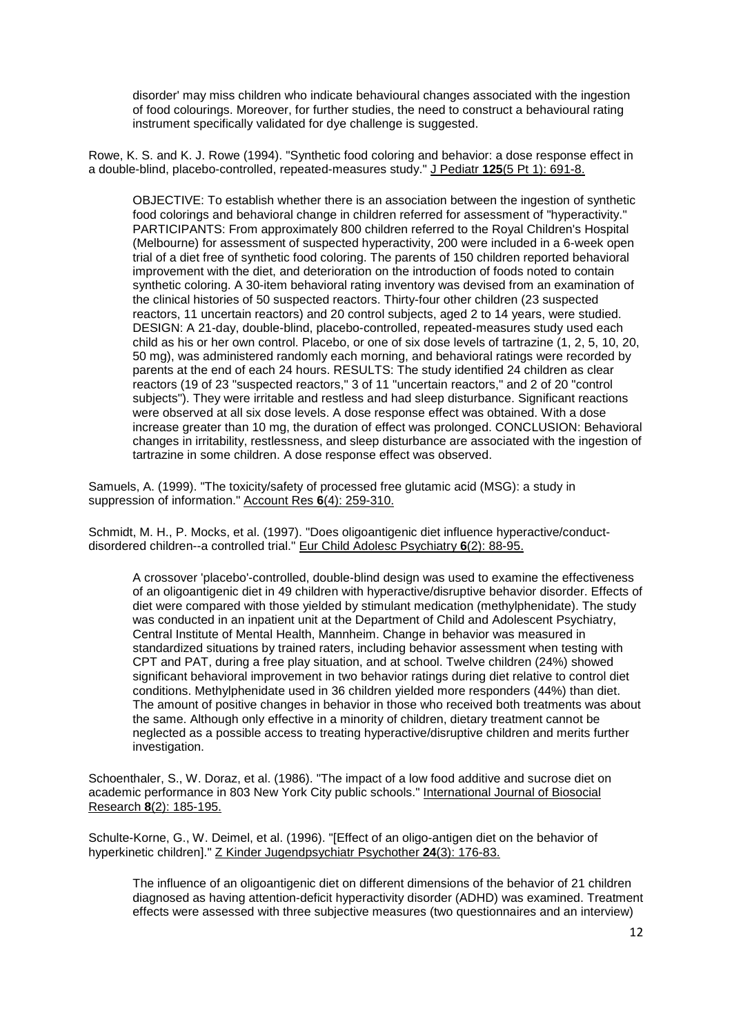disorder' may miss children who indicate behavioural changes associated with the ingestion of food colourings. Moreover, for further studies, the need to construct a behavioural rating instrument specifically validated for dye challenge is suggested.

Rowe, K. S. and K. J. Rowe (1994). "Synthetic food coloring and behavior: a dose response effect in a double-blind, placebo-controlled, repeated-measures study." J Pediatr **125**(5 Pt 1): 691-8.

OBJECTIVE: To establish whether there is an association between the ingestion of synthetic food colorings and behavioral change in children referred for assessment of "hyperactivity." PARTICIPANTS: From approximately 800 children referred to the Royal Children's Hospital (Melbourne) for assessment of suspected hyperactivity, 200 were included in a 6-week open trial of a diet free of synthetic food coloring. The parents of 150 children reported behavioral improvement with the diet, and deterioration on the introduction of foods noted to contain synthetic coloring. A 30-item behavioral rating inventory was devised from an examination of the clinical histories of 50 suspected reactors. Thirty-four other children (23 suspected reactors, 11 uncertain reactors) and 20 control subjects, aged 2 to 14 years, were studied. DESIGN: A 21-day, double-blind, placebo-controlled, repeated-measures study used each child as his or her own control. Placebo, or one of six dose levels of tartrazine (1, 2, 5, 10, 20, 50 mg), was administered randomly each morning, and behavioral ratings were recorded by parents at the end of each 24 hours. RESULTS: The study identified 24 children as clear reactors (19 of 23 "suspected reactors," 3 of 11 "uncertain reactors," and 2 of 20 "control subjects"). They were irritable and restless and had sleep disturbance. Significant reactions were observed at all six dose levels. A dose response effect was obtained. With a dose increase greater than 10 mg, the duration of effect was prolonged. CONCLUSION: Behavioral changes in irritability, restlessness, and sleep disturbance are associated with the ingestion of tartrazine in some children. A dose response effect was observed.

Samuels, A. (1999). "The toxicity/safety of processed free glutamic acid (MSG): a study in suppression of information." Account Res **6**(4): 259-310.

Schmidt, M. H., P. Mocks, et al. (1997). "Does oligoantigenic diet influence hyperactive/conductdisordered children--a controlled trial." Eur Child Adolesc Psychiatry **6**(2): 88-95.

A crossover 'placebo'-controlled, double-blind design was used to examine the effectiveness of an oligoantigenic diet in 49 children with hyperactive/disruptive behavior disorder. Effects of diet were compared with those yielded by stimulant medication (methylphenidate). The study was conducted in an inpatient unit at the Department of Child and Adolescent Psychiatry, Central Institute of Mental Health, Mannheim. Change in behavior was measured in standardized situations by trained raters, including behavior assessment when testing with CPT and PAT, during a free play situation, and at school. Twelve children (24%) showed significant behavioral improvement in two behavior ratings during diet relative to control diet conditions. Methylphenidate used in 36 children yielded more responders (44%) than diet. The amount of positive changes in behavior in those who received both treatments was about the same. Although only effective in a minority of children, dietary treatment cannot be neglected as a possible access to treating hyperactive/disruptive children and merits further investigation.

Schoenthaler, S., W. Doraz, et al. (1986). "The impact of a low food additive and sucrose diet on academic performance in 803 New York City public schools." International Journal of Biosocial Research **8**(2): 185-195.

Schulte-Korne, G., W. Deimel, et al. (1996). "[Effect of an oligo-antigen diet on the behavior of hyperkinetic children]." Z Kinder Jugendpsychiatr Psychother **24**(3): 176-83.

The influence of an oligoantigenic diet on different dimensions of the behavior of 21 children diagnosed as having attention-deficit hyperactivity disorder (ADHD) was examined. Treatment effects were assessed with three subjective measures (two questionnaires and an interview)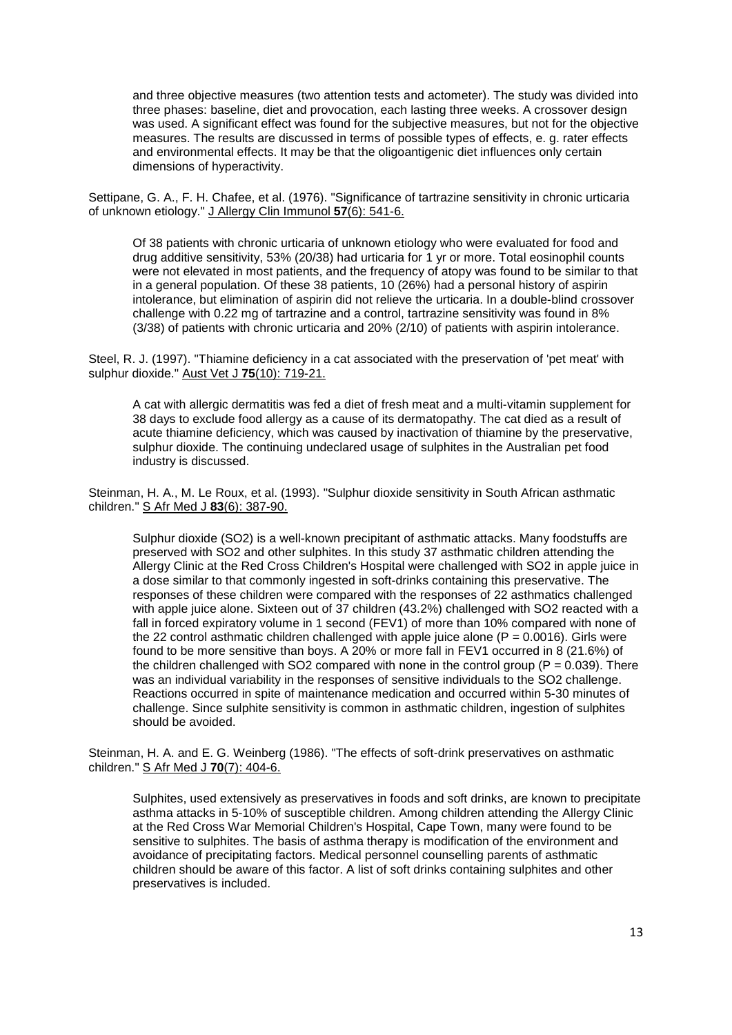and three objective measures (two attention tests and actometer). The study was divided into three phases: baseline, diet and provocation, each lasting three weeks. A crossover design was used. A significant effect was found for the subjective measures, but not for the objective measures. The results are discussed in terms of possible types of effects, e. g. rater effects and environmental effects. It may be that the oligoantigenic diet influences only certain dimensions of hyperactivity.

Settipane, G. A., F. H. Chafee, et al. (1976). "Significance of tartrazine sensitivity in chronic urticaria of unknown etiology." J Allergy Clin Immunol **57**(6): 541-6.

Of 38 patients with chronic urticaria of unknown etiology who were evaluated for food and drug additive sensitivity, 53% (20/38) had urticaria for 1 yr or more. Total eosinophil counts were not elevated in most patients, and the frequency of atopy was found to be similar to that in a general population. Of these 38 patients, 10 (26%) had a personal history of aspirin intolerance, but elimination of aspirin did not relieve the urticaria. In a double-blind crossover challenge with 0.22 mg of tartrazine and a control, tartrazine sensitivity was found in 8% (3/38) of patients with chronic urticaria and 20% (2/10) of patients with aspirin intolerance.

Steel, R. J. (1997). "Thiamine deficiency in a cat associated with the preservation of 'pet meat' with sulphur dioxide." Aust Vet J **75**(10): 719-21.

A cat with allergic dermatitis was fed a diet of fresh meat and a multi-vitamin supplement for 38 days to exclude food allergy as a cause of its dermatopathy. The cat died as a result of acute thiamine deficiency, which was caused by inactivation of thiamine by the preservative, sulphur dioxide. The continuing undeclared usage of sulphites in the Australian pet food industry is discussed.

Steinman, H. A., M. Le Roux, et al. (1993). "Sulphur dioxide sensitivity in South African asthmatic children." S Afr Med J **83**(6): 387-90.

Sulphur dioxide (SO2) is a well-known precipitant of asthmatic attacks. Many foodstuffs are preserved with SO2 and other sulphites. In this study 37 asthmatic children attending the Allergy Clinic at the Red Cross Children's Hospital were challenged with SO2 in apple juice in a dose similar to that commonly ingested in soft-drinks containing this preservative. The responses of these children were compared with the responses of 22 asthmatics challenged with apple juice alone. Sixteen out of 37 children (43.2%) challenged with SO2 reacted with a fall in forced expiratory volume in 1 second (FEV1) of more than 10% compared with none of the 22 control asthmatic children challenged with apple juice alone  $(P = 0.0016)$ . Girls were found to be more sensitive than boys. A 20% or more fall in FEV1 occurred in 8 (21.6%) of the children challenged with SO2 compared with none in the control group ( $P = 0.039$ ). There was an individual variability in the responses of sensitive individuals to the SO2 challenge. Reactions occurred in spite of maintenance medication and occurred within 5-30 minutes of challenge. Since sulphite sensitivity is common in asthmatic children, ingestion of sulphites should be avoided.

Steinman, H. A. and E. G. Weinberg (1986). "The effects of soft-drink preservatives on asthmatic children." S Afr Med J **70**(7): 404-6.

Sulphites, used extensively as preservatives in foods and soft drinks, are known to precipitate asthma attacks in 5-10% of susceptible children. Among children attending the Allergy Clinic at the Red Cross War Memorial Children's Hospital, Cape Town, many were found to be sensitive to sulphites. The basis of asthma therapy is modification of the environment and avoidance of precipitating factors. Medical personnel counselling parents of asthmatic children should be aware of this factor. A list of soft drinks containing sulphites and other preservatives is included.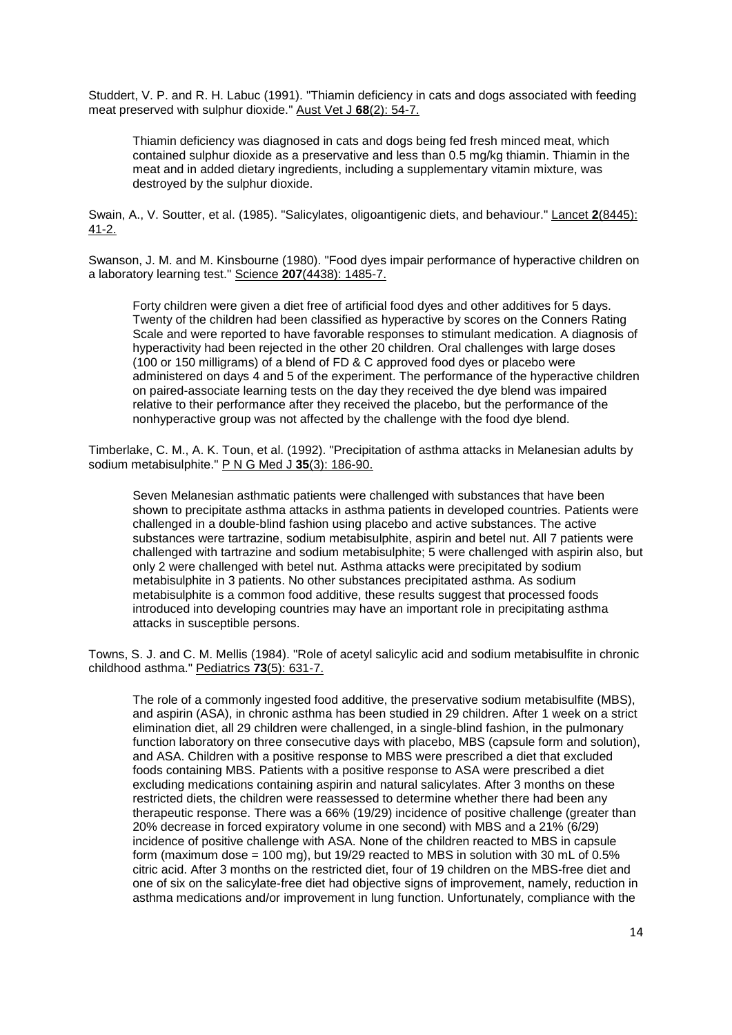Studdert, V. P. and R. H. Labuc (1991). "Thiamin deficiency in cats and dogs associated with feeding meat preserved with sulphur dioxide." Aust Vet J **68**(2): 54-7.

Thiamin deficiency was diagnosed in cats and dogs being fed fresh minced meat, which contained sulphur dioxide as a preservative and less than 0.5 mg/kg thiamin. Thiamin in the meat and in added dietary ingredients, including a supplementary vitamin mixture, was destroyed by the sulphur dioxide.

Swain, A., V. Soutter, et al. (1985). "Salicylates, oligoantigenic diets, and behaviour." Lancet **2**(8445): 41-2.

Swanson, J. M. and M. Kinsbourne (1980). "Food dyes impair performance of hyperactive children on a laboratory learning test." Science **207**(4438): 1485-7.

Forty children were given a diet free of artificial food dyes and other additives for 5 days. Twenty of the children had been classified as hyperactive by scores on the Conners Rating Scale and were reported to have favorable responses to stimulant medication. A diagnosis of hyperactivity had been rejected in the other 20 children. Oral challenges with large doses (100 or 150 milligrams) of a blend of FD & C approved food dyes or placebo were administered on days 4 and 5 of the experiment. The performance of the hyperactive children on paired-associate learning tests on the day they received the dye blend was impaired relative to their performance after they received the placebo, but the performance of the nonhyperactive group was not affected by the challenge with the food dye blend.

Timberlake, C. M., A. K. Toun, et al. (1992). "Precipitation of asthma attacks in Melanesian adults by sodium metabisulphite." P N G Med J **35**(3): 186-90.

Seven Melanesian asthmatic patients were challenged with substances that have been shown to precipitate asthma attacks in asthma patients in developed countries. Patients were challenged in a double-blind fashion using placebo and active substances. The active substances were tartrazine, sodium metabisulphite, aspirin and betel nut. All 7 patients were challenged with tartrazine and sodium metabisulphite; 5 were challenged with aspirin also, but only 2 were challenged with betel nut. Asthma attacks were precipitated by sodium metabisulphite in 3 patients. No other substances precipitated asthma. As sodium metabisulphite is a common food additive, these results suggest that processed foods introduced into developing countries may have an important role in precipitating asthma attacks in susceptible persons.

Towns, S. J. and C. M. Mellis (1984). "Role of acetyl salicylic acid and sodium metabisulfite in chronic childhood asthma." Pediatrics **73**(5): 631-7.

The role of a commonly ingested food additive, the preservative sodium metabisulfite (MBS), and aspirin (ASA), in chronic asthma has been studied in 29 children. After 1 week on a strict elimination diet, all 29 children were challenged, in a single-blind fashion, in the pulmonary function laboratory on three consecutive days with placebo, MBS (capsule form and solution), and ASA. Children with a positive response to MBS were prescribed a diet that excluded foods containing MBS. Patients with a positive response to ASA were prescribed a diet excluding medications containing aspirin and natural salicylates. After 3 months on these restricted diets, the children were reassessed to determine whether there had been any therapeutic response. There was a 66% (19/29) incidence of positive challenge (greater than 20% decrease in forced expiratory volume in one second) with MBS and a 21% (6/29) incidence of positive challenge with ASA. None of the children reacted to MBS in capsule form (maximum dose = 100 mg), but 19/29 reacted to MBS in solution with 30 mL of 0.5% citric acid. After 3 months on the restricted diet, four of 19 children on the MBS-free diet and one of six on the salicylate-free diet had objective signs of improvement, namely, reduction in asthma medications and/or improvement in lung function. Unfortunately, compliance with the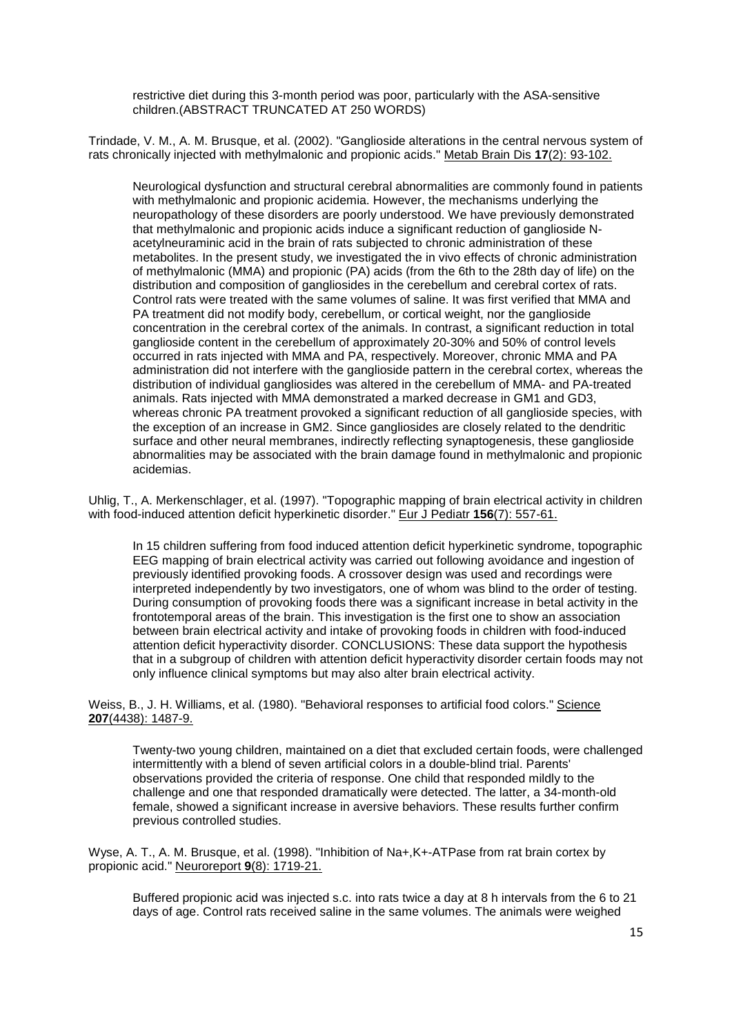restrictive diet during this 3-month period was poor, particularly with the ASA-sensitive children.(ABSTRACT TRUNCATED AT 250 WORDS)

Trindade, V. M., A. M. Brusque, et al. (2002). "Ganglioside alterations in the central nervous system of rats chronically injected with methylmalonic and propionic acids." Metab Brain Dis **17**(2): 93-102.

Neurological dysfunction and structural cerebral abnormalities are commonly found in patients with methylmalonic and propionic acidemia. However, the mechanisms underlying the neuropathology of these disorders are poorly understood. We have previously demonstrated that methylmalonic and propionic acids induce a significant reduction of ganglioside Nacetylneuraminic acid in the brain of rats subjected to chronic administration of these metabolites. In the present study, we investigated the in vivo effects of chronic administration of methylmalonic (MMA) and propionic (PA) acids (from the 6th to the 28th day of life) on the distribution and composition of gangliosides in the cerebellum and cerebral cortex of rats. Control rats were treated with the same volumes of saline. It was first verified that MMA and PA treatment did not modify body, cerebellum, or cortical weight, nor the ganglioside concentration in the cerebral cortex of the animals. In contrast, a significant reduction in total ganglioside content in the cerebellum of approximately 20-30% and 50% of control levels occurred in rats injected with MMA and PA, respectively. Moreover, chronic MMA and PA administration did not interfere with the ganglioside pattern in the cerebral cortex, whereas the distribution of individual gangliosides was altered in the cerebellum of MMA- and PA-treated animals. Rats injected with MMA demonstrated a marked decrease in GM1 and GD3, whereas chronic PA treatment provoked a significant reduction of all ganglioside species, with the exception of an increase in GM2. Since gangliosides are closely related to the dendritic surface and other neural membranes, indirectly reflecting synaptogenesis, these ganglioside abnormalities may be associated with the brain damage found in methylmalonic and propionic acidemias.

Uhlig, T., A. Merkenschlager, et al. (1997). "Topographic mapping of brain electrical activity in children with food-induced attention deficit hyperkinetic disorder." Eur J Pediatr **156**(7): 557-61.

In 15 children suffering from food induced attention deficit hyperkinetic syndrome, topographic EEG mapping of brain electrical activity was carried out following avoidance and ingestion of previously identified provoking foods. A crossover design was used and recordings were interpreted independently by two investigators, one of whom was blind to the order of testing. During consumption of provoking foods there was a significant increase in betal activity in the frontotemporal areas of the brain. This investigation is the first one to show an association between brain electrical activity and intake of provoking foods in children with food-induced attention deficit hyperactivity disorder. CONCLUSIONS: These data support the hypothesis that in a subgroup of children with attention deficit hyperactivity disorder certain foods may not only influence clinical symptoms but may also alter brain electrical activity.

Weiss, B., J. H. Williams, et al. (1980). "Behavioral responses to artificial food colors." Science **207**(4438): 1487-9.

Twenty-two young children, maintained on a diet that excluded certain foods, were challenged intermittently with a blend of seven artificial colors in a double-blind trial. Parents' observations provided the criteria of response. One child that responded mildly to the challenge and one that responded dramatically were detected. The latter, a 34-month-old female, showed a significant increase in aversive behaviors. These results further confirm previous controlled studies.

Wyse, A. T., A. M. Brusque, et al. (1998). "Inhibition of Na+,K+-ATPase from rat brain cortex by propionic acid." Neuroreport **9**(8): 1719-21.

Buffered propionic acid was injected s.c. into rats twice a day at 8 h intervals from the 6 to 21 days of age. Control rats received saline in the same volumes. The animals were weighed